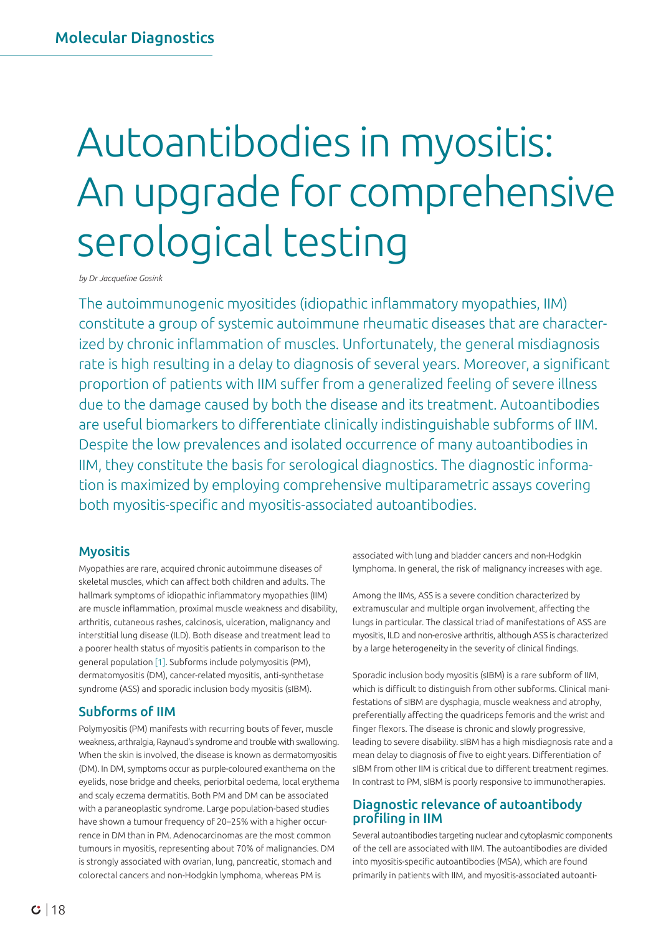# Autoantibodies in myositis: An upgrade for comprehensive serological testing

*by Dr Jacqueline Gosink*

The autoimmunogenic myositides (idiopathic inflammatory myopathies, IIM) constitute a group of systemic autoimmune rheumatic diseases that are characterized by chronic inflammation of muscles. Unfortunately, the general misdiagnosis rate is high resulting in a delay to diagnosis of several years. Moreover, a significant proportion of patients with IIM suffer from a generalized feeling of severe illness due to the damage caused by both the disease and its treatment. Autoantibodies are useful biomarkers to differentiate clinically indistinguishable subforms of IIM. Despite the low prevalences and isolated occurrence of many autoantibodies in IIM, they constitute the basis for serological diagnostics. The diagnostic information is maximized by employing comprehensive multiparametric assays covering both myositis-specific and myositis-associated autoantibodies.

### **Myositis**

Myopathies are rare, acquired chronic autoimmune diseases of skeletal muscles, which can affect both children and adults. The hallmark symptoms of idiopathic inflammatory myopathies (IIM) are muscle inflammation, proximal muscle weakness and disability, arthritis, cutaneous rashes, calcinosis, ulceration, malignancy and interstitial lung disease (ILD). Both disease and treatment lead to a poorer health status of myositis patients in comparison to the general population [1]. Subforms include polymyositis (PM), dermatomyositis (DM), cancer-related myositis, anti-synthetase syndrome (ASS) and sporadic inclusion body myositis (sIBM).

## Subforms of IIM

Polymyositis (PM) manifests with recurring bouts of fever, muscle weakness, arthralgia, Raynaud's syndrome and trouble with swallowing. When the skin is involved, the disease is known as dermatomyositis (DM). In DM, symptoms occur as purple-coloured exanthema on the eyelids, nose bridge and cheeks, periorbital oedema, local erythema and scaly eczema dermatitis. Both PM and DM can be associated with a paraneoplastic syndrome. Large population-based studies have shown a tumour frequency of 20–25% with a higher occurrence in DM than in PM. Adenocarcinomas are the most common tumours in myositis, representing about 70% of malignancies. DM is strongly associated with ovarian, lung, pancreatic, stomach and colorectal cancers and non-Hodgkin lymphoma, whereas PM is

associated with lung and bladder cancers and non-Hodgkin lymphoma. In general, the risk of malignancy increases with age.

Among the IIMs, ASS is a severe condition characterized by extramuscular and multiple organ involvement, affecting the lungs in particular. The classical triad of manifestations of ASS are myositis, ILD and non-erosive arthritis, although ASS is characterized by a large heterogeneity in the severity of clinical findings.

Sporadic inclusion body myositis (sIBM) is a rare subform of IIM, which is difficult to distinguish from other subforms. Clinical manifestations of sIBM are dysphagia, muscle weakness and atrophy, preferentially affecting the quadriceps femoris and the wrist and finger flexors. The disease is chronic and slowly progressive, leading to severe disability. sIBM has a high misdiagnosis rate and a mean delay to diagnosis of five to eight years. Differentiation of sIBM from other IIM is critical due to different treatment regimes. In contrast to PM, sIBM is poorly responsive to immunotherapies.

## Diagnostic relevance of autoantibody profiling in IIM

Several autoantibodies targeting nuclear and cytoplasmic components of the cell are associated with IIM. The autoantibodies are divided into myositis-specific autoantibodies (MSA), which are found primarily in patients with IIM, and myositis-associated autoanti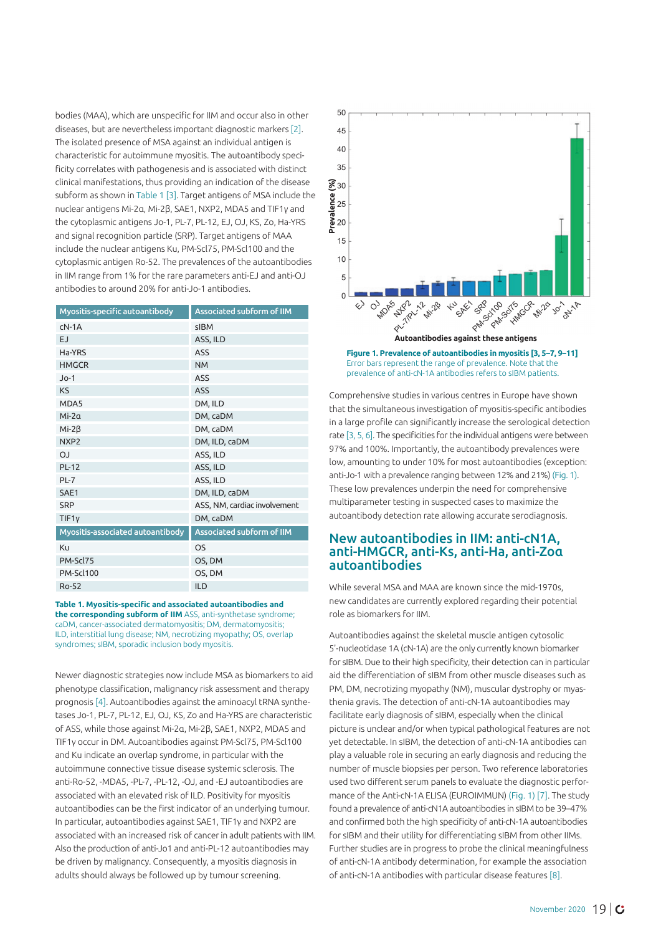bodies (MAA), which are unspecific for IIM and occur also in other diseases, but are nevertheless important diagnostic markers [2]. The isolated presence of MSA against an individual antigen is characteristic for autoimmune myositis. The autoantibody specificity correlates with pathogenesis and is associated with distinct clinical manifestations, thus providing an indication of the disease subform as shown in Table 1 [3]. Target antigens of MSA include the nuclear antigens Mi-2α, Mi-2β, SAE1, NXP2, MDA5 and TIF1γ and the cytoplasmic antigens Jo-1, PL-7, PL-12, EJ, OJ, KS, Zo, Ha-YRS and signal recognition particle (SRP). Target antigens of MAA include the nuclear antigens Ku, PM-Scl75, PM-Scl100 and the cytoplasmic antigen Ro-52. The prevalences of the autoantibodies in IIM range from 1% for the rare parameters anti-EJ and anti-OJ antibodies to around 20% for anti-Jo-1 antibodies.

| Myositis-specific autoantibody   | <b>Associated subform of IIM</b> |
|----------------------------------|----------------------------------|
| $cN-1A$                          | sIBM                             |
| <b>EJ</b>                        | ASS, ILD                         |
| Ha-YRS                           | ASS                              |
| <b>HMGCR</b>                     | <b>NM</b>                        |
| $Jo-1$                           | <b>ASS</b>                       |
| <b>KS</b>                        | <b>ASS</b>                       |
| MDA5                             | DM, ILD                          |
| $Mi-2a$                          | DM, caDM                         |
| $Mi-2\beta$                      | DM, caDM                         |
| NXP <sub>2</sub>                 | DM, ILD, caDM                    |
| LO                               | ASS, ILD                         |
| <b>PL-12</b>                     | ASS, ILD                         |
| $PL-7$                           | ASS, ILD                         |
| SAE1                             | DM, ILD, caDM                    |
| <b>SRP</b>                       | ASS, NM, cardiac involvement     |
| TIF1y                            | DM, caDM                         |
| Myositis-associated autoantibody | Associated subform of IIM        |
| Ku                               | <b>OS</b>                        |
| PM-Scl75                         | OS, DM                           |
| PM-Scl100                        | OS, DM                           |
| Ro-52                            | <b>ILD</b>                       |

**Table 1. Myositis-specific and associated autoantibodies and the corresponding subform of IIM** ASS, anti-synthetase syndrome; caDM, cancer-associated dermatomyositis; DM, dermatomyositis; ILD, interstitial lung disease; NM, necrotizing myopathy; OS, overlap syndromes; sIBM, sporadic inclusion body myositis.

Newer diagnostic strategies now include MSA as biomarkers to aid phenotype classification, malignancy risk assessment and therapy prognosis [4]. Autoantibodies against the aminoacyl tRNA synthetases Jo-1, PL-7, PL-12, EJ, OJ, KS, Zo and Ha-YRS are characteristic of ASS, while those against Mi-2α, Mi-2β, SAE1, NXP2, MDA5 and TIF1γ occur in DM. Autoantibodies against PM-Scl75, PM-Scl100 and Ku indicate an overlap syndrome, in particular with the autoimmune connective tissue disease systemic sclerosis. The anti-Ro-52, -MDA5, -PL-7, -PL-12, -OJ, and -EJ autoantibodies are associated with an elevated risk of ILD. Positivity for myositis autoantibodies can be the first indicator of an underlying tumour. In particular, autoantibodies against SAE1, TIF1γ and NXP2 are associated with an increased risk of cancer in adult patients with IIM. Also the production of anti-Jo1 and anti-PL-12 autoantibodies may be driven by malignancy. Consequently, a myositis diagnosis in adults should always be followed up by tumour screening.



Comprehensive studies in various centres in Europe have shown that the simultaneous investigation of myositis-specific antibodies in a large profile can significantly increase the serological detection rate [3, 5, 6]. The specificities for the individual antigens were between 97% and 100%. Importantly, the autoantibody prevalences were low, amounting to under 10% for most autoantibodies (exception: anti-Jo-1 with a prevalence ranging between 12% and 21%) (Fig. 1). These low prevalences underpin the need for comprehensive multiparameter testing in suspected cases to maximize the autoantibody detection rate allowing accurate serodiagnosis.

#### New autoantibodies in IIM: anti-cN1A, anti-HMGCR, anti-Ks, anti-Ha, anti-Zoα autoantibodies

While several MSA and MAA are known since the mid-1970s, new candidates are currently explored regarding their potential role as biomarkers for IIM.

Autoantibodies against the skeletal muscle antigen cytosolic 5'-nucleotidase 1A (cN-1A) are the only currently known biomarker for sIBM. Due to their high specificity, their detection can in particular aid the differentiation of sIBM from other muscle diseases such as PM, DM, necrotizing myopathy (NM), muscular dystrophy or myasthenia gravis. The detection of anti-cN-1A autoantibodies may facilitate early diagnosis of sIBM, especially when the clinical picture is unclear and/or when typical pathological features are not yet detectable. In sIBM, the detection of anti-cN-1A antibodies can play a valuable role in securing an early diagnosis and reducing the number of muscle biopsies per person. Two reference laboratories used two different serum panels to evaluate the diagnostic performance of the Anti-cN-1A ELISA (EUROIMMUN) (Fig. 1) [7]. The study found a prevalence of anti-cN1A autoantibodies in sIBM to be 39–47% and confirmed both the high specificity of anti-cN-1A autoantibodies for sIBM and their utility for differentiating sIBM from other IIMs. Further studies are in progress to probe the clinical meaningfulness of anti-cN-1A antibody determination, for example the association of anti-cN-1A antibodies with particular disease features [8].